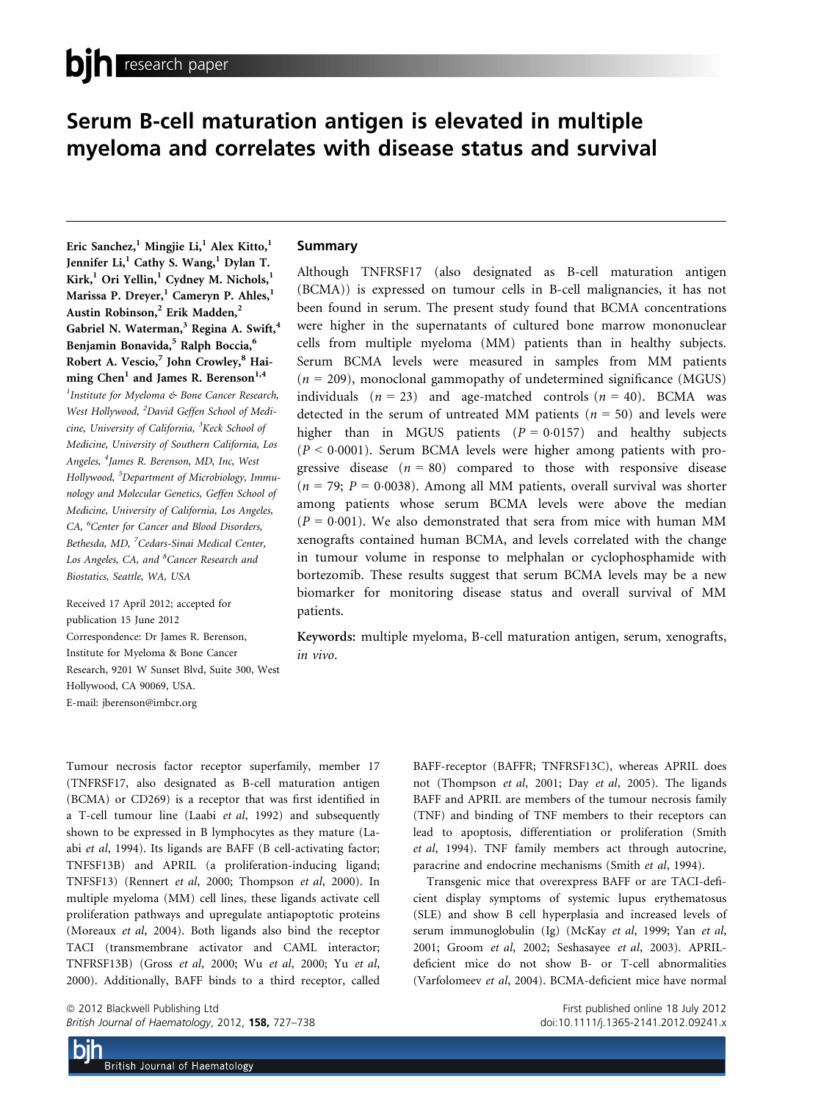# Serum B-cell maturation antigen is elevated in multiple myeloma and correlates with disease status and survival

Eric Sanchez,<sup>1</sup> Mingjie Li,<sup>1</sup> Alex Kitto,<sup>1</sup> Jennifer Li,<sup>1</sup> Cathy S. Wang,<sup>1</sup> Dylan T. Kirk,<sup>1</sup> Ori Yellin,<sup>1</sup> Cydney M. Nichols,<sup>1</sup> Marissa P. Dreyer,<sup>1</sup> Cameryn P. Ahles,<sup>1</sup> Austin Robinson,<sup>2</sup> Erik Madden,<sup>2</sup> Gabriel N. Waterman,<sup>3</sup> Regina A. Swift,<sup>4</sup> Benjamin Bonavida,<sup>5</sup> Ralph Boccia,<sup>6</sup> Robert A. Vescio,<sup>7</sup> John Crowley,<sup>8</sup> Haiming Chen<sup>1</sup> and James R. Berenson<sup>1,4</sup> <sup>1</sup>Institute for Myeloma & Bone Cancer Research, West Hollywood, <sup>2</sup>David Geffen School of Medicine, University of California, <sup>3</sup>Keck School of Medicine, University of Southern California, Los Angeles, <sup>4</sup>James R. Berenson, MD, Inc, West Hollywood, <sup>5</sup>Department of Microbiology, Immunology and Molecular Genetics, Geffen School of Medicine, University of California, Los Angeles, CA, <sup>6</sup>Center for Cancer and Blood Disorders, Bethesda, MD, <sup>7</sup>Cedars-Sinai Medical Center, Los Angeles, CA, and <sup>8</sup>Cancer Research and Biostatics, Seattle, WA, USA

Received 17 April 2012; accepted for publication 15 June 2012 Correspondence: Dr James R. Berenson, Institute for Myeloma & Bone Cancer Research, 9201 W Sunset Blvd, Suite 300, West Hollywood, CA 90069, USA. E-mail: jberenson@imbcr.org

# Summary

Although TNFRSF17 (also designated as B-cell maturation antigen (BCMA)) is expressed on tumour cells in B-cell malignancies, it has not been found in serum. The present study found that BCMA concentrations were higher in the supernatants of cultured bone marrow mononuclear cells from multiple myeloma (MM) patients than in healthy subjects. Serum BCMA levels were measured in samples from MM patients  $(n = 209)$ , monoclonal gammopathy of undetermined significance (MGUS) individuals  $(n = 23)$  and age-matched controls  $(n = 40)$ . BCMA was detected in the serum of untreated MM patients ( $n = 50$ ) and levels were higher than in MGUS patients  $(P = 0.0157)$  and healthy subjects  $(P < 0.0001)$ . Serum BCMA levels were higher among patients with progressive disease  $(n = 80)$  compared to those with responsive disease  $(n = 79; P = 0.0038)$ . Among all MM patients, overall survival was shorter among patients whose serum BCMA levels were above the median  $(P = 0.001)$ . We also demonstrated that sera from mice with human MM xenografts contained human BCMA, and levels correlated with the change in tumour volume in response to melphalan or cyclophosphamide with bortezomib. These results suggest that serum BCMA levels may be a new biomarker for monitoring disease status and overall survival of MM patients.

Keywords: multiple myeloma, B-cell maturation antigen, serum, xenografts, in vivo.

Tumour necrosis factor receptor superfamily, member 17 (TNFRSF17, also designated as B-cell maturation antigen (BCMA) or CD269) is a receptor that was first identified in a T-cell tumour line (Laabi et al, 1992) and subsequently shown to be expressed in B lymphocytes as they mature (Laabi et al, 1994). Its ligands are BAFF (B cell-activating factor; TNFSF13B) and APRIL (a proliferation-inducing ligand; TNFSF13) (Rennert et al, 2000; Thompson et al, 2000). In multiple myeloma (MM) cell lines, these ligands activate cell proliferation pathways and upregulate antiapoptotic proteins (Moreaux et al, 2004). Both ligands also bind the receptor TACI (transmembrane activator and CAML interactor; TNFRSF13B) (Gross et al, 2000; Wu et al, 2000; Yu et al, 2000). Additionally, BAFF binds to a third receptor, called

ª 2012 Blackwell Publishing Ltd First published online 18 July 2012 British Journal of Haematology, 2012, **158,** 727–738 doi:10.1111/j.1365-2141.2012.09241.x

BAFF-receptor (BAFFR; TNFRSF13C), whereas APRIL does not (Thompson et al, 2001; Day et al, 2005). The ligands BAFF and APRIL are members of the tumour necrosis family (TNF) and binding of TNF members to their receptors can lead to apoptosis, differentiation or proliferation (Smith et al, 1994). TNF family members act through autocrine, paracrine and endocrine mechanisms (Smith et al, 1994).

Transgenic mice that overexpress BAFF or are TACI-deficient display symptoms of systemic lupus erythematosus (SLE) and show B cell hyperplasia and increased levels of serum immunoglobulin (Ig) (McKay et al, 1999; Yan et al, 2001; Groom et al, 2002; Seshasayee et al, 2003). APRILdeficient mice do not show B- or T-cell abnormalities (Varfolomeev et al, 2004). BCMA-deficient mice have normal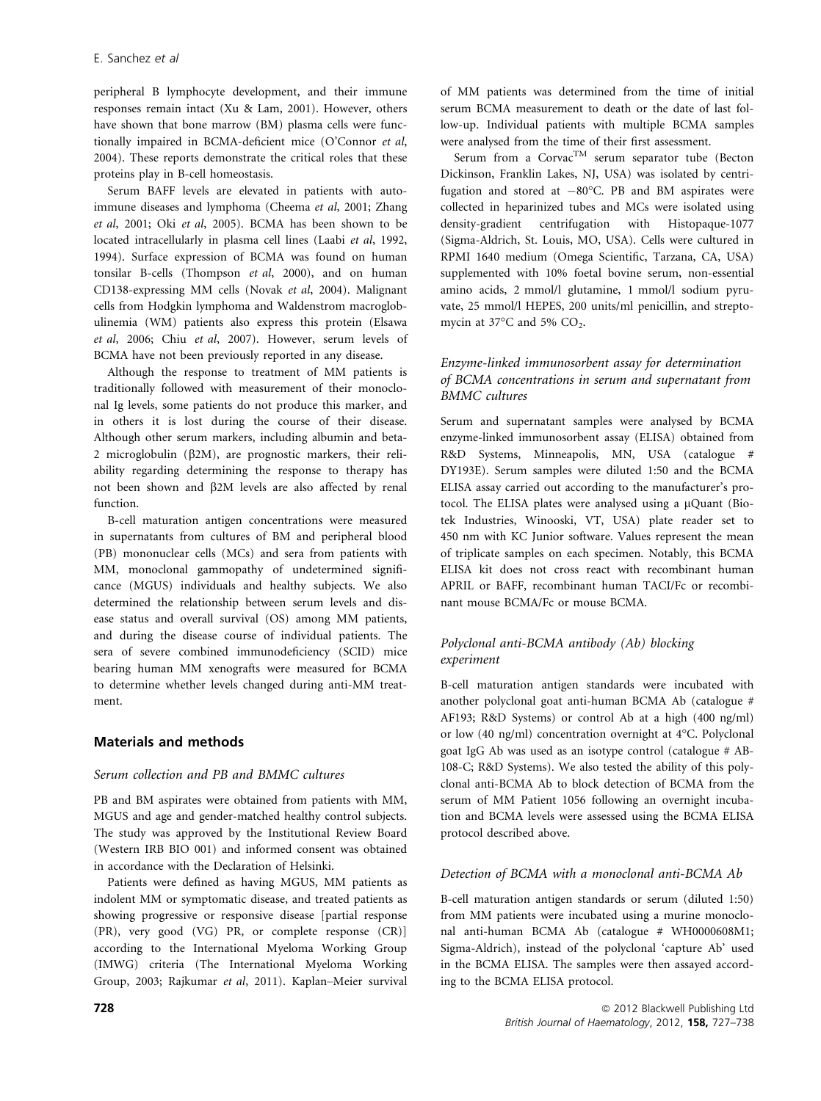peripheral B lymphocyte development, and their immune responses remain intact (Xu & Lam, 2001). However, others have shown that bone marrow (BM) plasma cells were functionally impaired in BCMA-deficient mice (O'Connor et al, 2004). These reports demonstrate the critical roles that these proteins play in B-cell homeostasis.

Serum BAFF levels are elevated in patients with autoimmune diseases and lymphoma (Cheema et al, 2001; Zhang et al, 2001; Oki et al, 2005). BCMA has been shown to be located intracellularly in plasma cell lines (Laabi et al, 1992, 1994). Surface expression of BCMA was found on human tonsilar B-cells (Thompson et al, 2000), and on human CD138-expressing MM cells (Novak et al, 2004). Malignant cells from Hodgkin lymphoma and Waldenstrom macroglobulinemia (WM) patients also express this protein (Elsawa et al, 2006; Chiu et al, 2007). However, serum levels of BCMA have not been previously reported in any disease.

Although the response to treatment of MM patients is traditionally followed with measurement of their monoclonal Ig levels, some patients do not produce this marker, and in others it is lost during the course of their disease. Although other serum markers, including albumin and beta-2 microglobulin ( $\beta$ 2M), are prognostic markers, their reliability regarding determining the response to therapy has not been shown and  $\beta$ 2M levels are also affected by renal function.

B-cell maturation antigen concentrations were measured in supernatants from cultures of BM and peripheral blood (PB) mononuclear cells (MCs) and sera from patients with MM, monoclonal gammopathy of undetermined significance (MGUS) individuals and healthy subjects. We also determined the relationship between serum levels and disease status and overall survival (OS) among MM patients, and during the disease course of individual patients. The sera of severe combined immunodeficiency (SCID) mice bearing human MM xenografts were measured for BCMA to determine whether levels changed during anti-MM treatment.

# Materials and methods

## Serum collection and PB and BMMC cultures

PB and BM aspirates were obtained from patients with MM, MGUS and age and gender-matched healthy control subjects. The study was approved by the Institutional Review Board (Western IRB BIO 001) and informed consent was obtained in accordance with the Declaration of Helsinki.

Patients were defined as having MGUS, MM patients as indolent MM or symptomatic disease, and treated patients as showing progressive or responsive disease [partial response (PR), very good (VG) PR, or complete response (CR)] according to the International Myeloma Working Group (IMWG) criteria (The International Myeloma Working Group, 2003; Rajkumar et al, 2011). Kaplan–Meier survival

of MM patients was determined from the time of initial serum BCMA measurement to death or the date of last follow-up. Individual patients with multiple BCMA samples were analysed from the time of their first assessment.

Serum from a Corvac<sup>TM</sup> serum separator tube (Becton Dickinson, Franklin Lakes, NJ, USA) was isolated by centrifugation and stored at  $-80^{\circ}$ C. PB and BM aspirates were collected in heparinized tubes and MCs were isolated using density-gradient centrifugation with Histopaque-1077 (Sigma-Aldrich, St. Louis, MO, USA). Cells were cultured in RPMI 1640 medium (Omega Scientific, Tarzana, CA, USA) supplemented with 10% foetal bovine serum, non-essential amino acids, 2 mmol/l glutamine, 1 mmol/l sodium pyruvate, 25 mmol/l HEPES, 200 units/ml penicillin, and streptomycin at 37 $\mathrm{^{\circ}C}$  and 5%  $\mathrm{CO}_{2}$ .

# Enzyme-linked immunosorbent assay for determination of BCMA concentrations in serum and supernatant from BMMC cultures

Serum and supernatant samples were analysed by BCMA enzyme-linked immunosorbent assay (ELISA) obtained from R&D Systems, Minneapolis, MN, USA (catalogue # DY193E). Serum samples were diluted 1:50 and the BCMA ELISA assay carried out according to the manufacturer's protocol. The ELISA plates were analysed using a µQuant (Biotek Industries, Winooski, VT, USA) plate reader set to 450 nm with KC Junior software. Values represent the mean of triplicate samples on each specimen. Notably, this BCMA ELISA kit does not cross react with recombinant human APRIL or BAFF, recombinant human TACI/Fc or recombinant mouse BCMA/Fc or mouse BCMA.

# Polyclonal anti-BCMA antibody (Ab) blocking experiment

B-cell maturation antigen standards were incubated with another polyclonal goat anti-human BCMA Ab (catalogue # AF193; R&D Systems) or control Ab at a high (400 ng/ml) or low (40 ng/ml) concentration overnight at 4°C. Polyclonal goat IgG Ab was used as an isotype control (catalogue # AB-108-C; R&D Systems). We also tested the ability of this polyclonal anti-BCMA Ab to block detection of BCMA from the serum of MM Patient 1056 following an overnight incubation and BCMA levels were assessed using the BCMA ELISA protocol described above.

# Detection of BCMA with a monoclonal anti-BCMA Ab

B-cell maturation antigen standards or serum (diluted 1:50) from MM patients were incubated using a murine monoclonal anti-human BCMA Ab (catalogue # WH0000608M1; Sigma-Aldrich), instead of the polyclonal 'capture Ab' used in the BCMA ELISA. The samples were then assayed according to the BCMA ELISA protocol.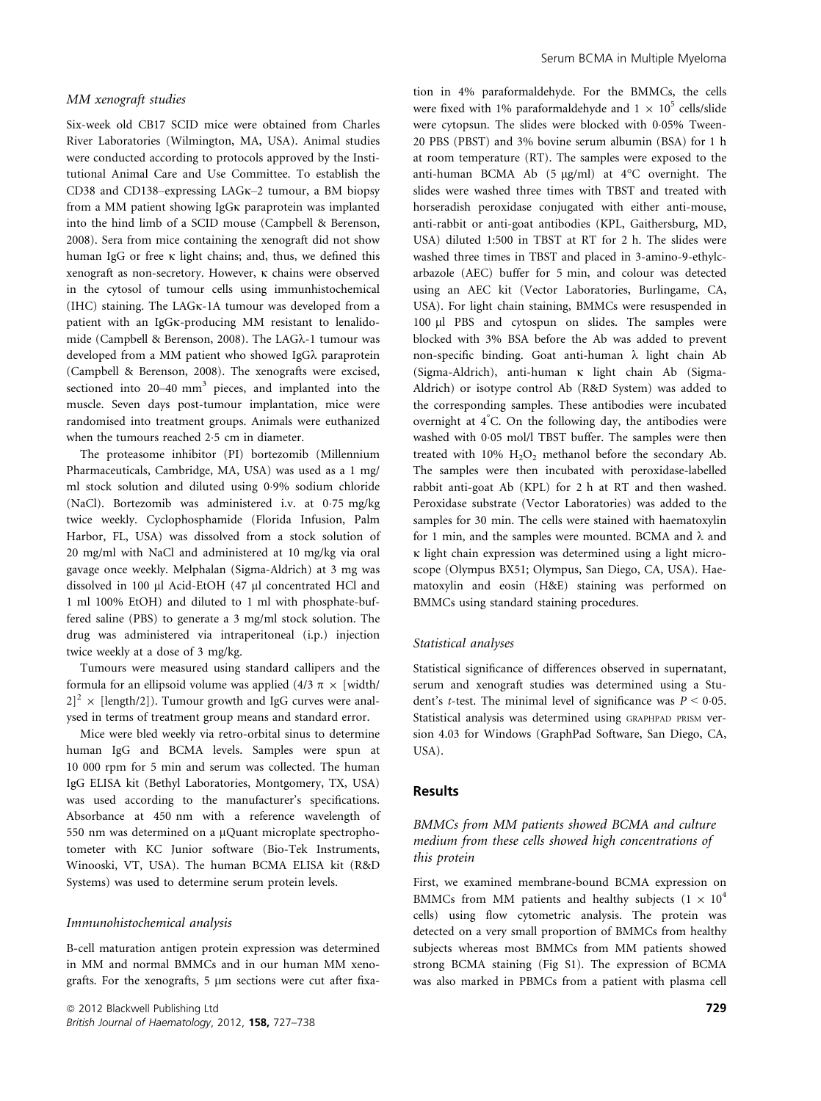#### MM xenograft studies

Six-week old CB17 SCID mice were obtained from Charles River Laboratories (Wilmington, MA, USA). Animal studies were conducted according to protocols approved by the Institutional Animal Care and Use Committee. To establish the CD38 and CD138–expressing LAG<sub>K</sub>–2 tumour, a BM biopsy from a MM patient showing IgG<sub>K</sub> paraprotein was implanted into the hind limb of a SCID mouse (Campbell & Berenson, 2008). Sera from mice containing the xenograft did not show human IgG or free  $\kappa$  light chains; and, thus, we defined this xenograft as non-secretory. However,  $\kappa$  chains were observed in the cytosol of tumour cells using immunhistochemical (IHC) staining. The LAGK-1A tumour was developed from a patient with an IgG<sub>K</sub>-producing MM resistant to lenalidomide (Campbell & Berenson, 2008). The LAGk-1 tumour was developed from a MM patient who showed IgGk paraprotein (Campbell & Berenson, 2008). The xenografts were excised, sectioned into 20–40 mm<sup>3</sup> pieces, and implanted into the muscle. Seven days post-tumour implantation, mice were randomised into treatment groups. Animals were euthanized when the tumours reached 2.5 cm in diameter.

The proteasome inhibitor (PI) bortezomib (Millennium Pharmaceuticals, Cambridge, MA, USA) was used as a 1 mg/ ml stock solution and diluted using 09% sodium chloride (NaCl). Bortezomib was administered i.v. at 075 mg/kg twice weekly. Cyclophosphamide (Florida Infusion, Palm Harbor, FL, USA) was dissolved from a stock solution of 20 mg/ml with NaCl and administered at 10 mg/kg via oral gavage once weekly. Melphalan (Sigma-Aldrich) at 3 mg was dissolved in 100 µl Acid-EtOH (47 µl concentrated HCl and 1 ml 100% EtOH) and diluted to 1 ml with phosphate-buffered saline (PBS) to generate a 3 mg/ml stock solution. The drug was administered via intraperitoneal (i.p.) injection twice weekly at a dose of 3 mg/kg.

Tumours were measured using standard callipers and the formula for an ellipsoid volume was applied (4/3  $\pi$   $\times$  [width/  $|2|^2 \times$  [length/2]). Tumour growth and IgG curves were analysed in terms of treatment group means and standard error.

Mice were bled weekly via retro-orbital sinus to determine human IgG and BCMA levels. Samples were spun at 10 000 rpm for 5 min and serum was collected. The human IgG ELISA kit (Bethyl Laboratories, Montgomery, TX, USA) was used according to the manufacturer's specifications. Absorbance at 450 nm with a reference wavelength of 550 nm was determined on a µQuant microplate spectrophotometer with KC Junior software (Bio-Tek Instruments, Winooski, VT, USA). The human BCMA ELISA kit (R&D Systems) was used to determine serum protein levels.

#### Immunohistochemical analysis

B-cell maturation antigen protein expression was determined in MM and normal BMMCs and in our human MM xenografts. For the xenografts, 5 µm sections were cut after fixation in 4% paraformaldehyde. For the BMMCs, the cells were fixed with 1% paraformaldehyde and  $1 \times 10^5$  cells/slide were cytopsun. The slides were blocked with 0.05% Tween-20 PBS (PBST) and 3% bovine serum albumin (BSA) for 1 h at room temperature (RT). The samples were exposed to the anti-human BCMA Ab  $(5 \text{ µg/ml})$  at  $4^{\circ}$ C overnight. The slides were washed three times with TBST and treated with horseradish peroxidase conjugated with either anti-mouse, anti-rabbit or anti-goat antibodies (KPL, Gaithersburg, MD, USA) diluted 1:500 in TBST at RT for 2 h. The slides were washed three times in TBST and placed in 3-amino-9-ethylcarbazole (AEC) buffer for 5 min, and colour was detected using an AEC kit (Vector Laboratories, Burlingame, CA, USA). For light chain staining, BMMCs were resuspended in 100 µl PBS and cytospun on slides. The samples were blocked with 3% BSA before the Ab was added to prevent non-specific binding. Goat anti-human  $\lambda$  light chain Ab (Sigma-Aldrich), anti-human  $\kappa$  light chain Ab (Sigma-Aldrich) or isotype control Ab (R&D System) was added to the corresponding samples. These antibodies were incubated overnight at 4° C. On the following day, the antibodies were washed with 0.05 mol/l TBST buffer. The samples were then treated with  $10\%$   $H_2O_2$  methanol before the secondary Ab. The samples were then incubated with peroxidase-labelled rabbit anti-goat Ab (KPL) for 2 h at RT and then washed. Peroxidase substrate (Vector Laboratories) was added to the samples for 30 min. The cells were stained with haematoxylin for 1 min, and the samples were mounted. BCMA and  $\lambda$  and  $\kappa$  light chain expression was determined using a light microscope (Olympus BX51; Olympus, San Diego, CA, USA). Haematoxylin and eosin (H&E) staining was performed on BMMCs using standard staining procedures.

#### Statistical analyses

Statistical significance of differences observed in supernatant, serum and xenograft studies was determined using a Student's *t*-test. The minimal level of significance was  $P < 0.05$ . Statistical analysis was determined using GRAPHPAD PRISM version 4.03 for Windows (GraphPad Software, San Diego, CA, USA).

#### Results

# BMMCs from MM patients showed BCMA and culture medium from these cells showed high concentrations of this protein

First, we examined membrane-bound BCMA expression on BMMCs from MM patients and healthy subjects ( $1 \times 10^4$ ) cells) using flow cytometric analysis. The protein was detected on a very small proportion of BMMCs from healthy subjects whereas most BMMCs from MM patients showed strong BCMA staining (Fig S1). The expression of BCMA was also marked in PBMCs from a patient with plasma cell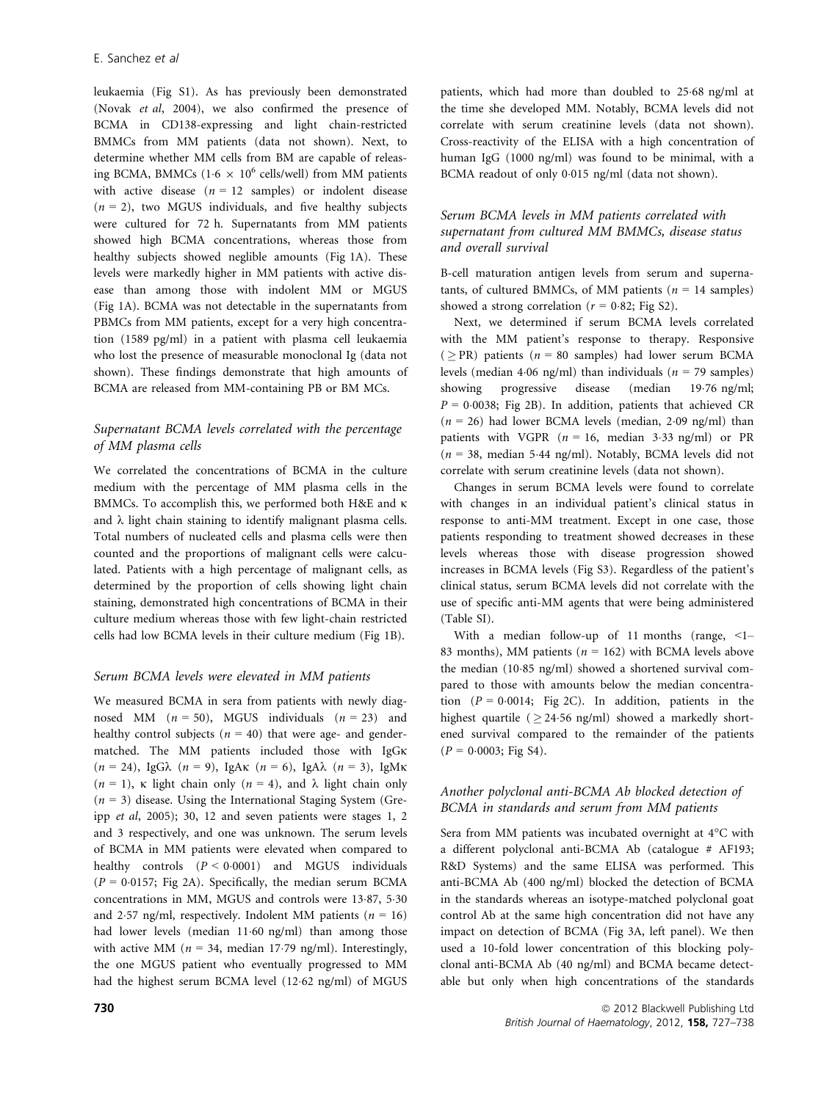leukaemia (Fig S1). As has previously been demonstrated (Novak et al, 2004), we also confirmed the presence of BCMA in CD138-expressing and light chain-restricted BMMCs from MM patients (data not shown). Next, to determine whether MM cells from BM are capable of releasing BCMA, BMMCs (1.6  $\times$  10<sup>6</sup> cells/well) from MM patients with active disease  $(n = 12 \text{ samples})$  or indolent disease  $(n = 2)$ , two MGUS individuals, and five healthy subjects were cultured for 72 h. Supernatants from MM patients showed high BCMA concentrations, whereas those from healthy subjects showed neglible amounts (Fig 1A). These levels were markedly higher in MM patients with active disease than among those with indolent MM or MGUS (Fig 1A). BCMA was not detectable in the supernatants from PBMCs from MM patients, except for a very high concentration (1589 pg/ml) in a patient with plasma cell leukaemia who lost the presence of measurable monoclonal Ig (data not shown). These findings demonstrate that high amounts of BCMA are released from MM-containing PB or BM MCs.

# Supernatant BCMA levels correlated with the percentage of MM plasma cells

We correlated the concentrations of BCMA in the culture medium with the percentage of MM plasma cells in the BMMCs. To accomplish this, we performed both H&E and  $\kappa$ and  $\lambda$  light chain staining to identify malignant plasma cells. Total numbers of nucleated cells and plasma cells were then counted and the proportions of malignant cells were calculated. Patients with a high percentage of malignant cells, as determined by the proportion of cells showing light chain staining, demonstrated high concentrations of BCMA in their culture medium whereas those with few light-chain restricted cells had low BCMA levels in their culture medium (Fig 1B).

## Serum BCMA levels were elevated in MM patients

We measured BCMA in sera from patients with newly diagnosed MM  $(n = 50)$ , MGUS individuals  $(n = 23)$  and healthy control subjects ( $n = 40$ ) that were age- and gendermatched. The MM patients included those with IgGK  $(n = 24)$ , IgG $\lambda$   $(n = 9)$ , IgA $\kappa$   $(n = 6)$ , IgA $\lambda$   $(n = 3)$ , IgM $\kappa$  $(n = 1)$ ,  $\kappa$  light chain only  $(n = 4)$ , and  $\lambda$  light chain only  $(n = 3)$  disease. Using the International Staging System (Greipp et al, 2005); 30, 12 and seven patients were stages 1, 2 and 3 respectively, and one was unknown. The serum levels of BCMA in MM patients were elevated when compared to healthy controls  $(P < 0.0001)$  and MGUS individuals  $(P = 0.0157;$  Fig 2A). Specifically, the median serum BCMA concentrations in MM, MGUS and controls were 13.87, 5.30 and 2.57 ng/ml, respectively. Indolent MM patients ( $n = 16$ ) had lower levels (median 1160 ng/ml) than among those with active MM ( $n = 34$ , median 17.79 ng/ml). Interestingly, the one MGUS patient who eventually progressed to MM had the highest serum BCMA level (1262 ng/ml) of MGUS patients, which had more than doubled to 2568 ng/ml at the time she developed MM. Notably, BCMA levels did not correlate with serum creatinine levels (data not shown). Cross-reactivity of the ELISA with a high concentration of human IgG (1000 ng/ml) was found to be minimal, with a BCMA readout of only 0.015 ng/ml (data not shown).

# Serum BCMA levels in MM patients correlated with supernatant from cultured MM BMMCs, disease status and overall survival

B-cell maturation antigen levels from serum and supernatants, of cultured BMMCs, of MM patients ( $n = 14$  samples) showed a strong correlation ( $r = 0.82$ ; Fig S2).

Next, we determined if serum BCMA levels correlated with the MM patient's response to therapy. Responsive ( $\geq$ PR) patients ( $n = 80$  samples) had lower serum BCMA levels (median 4.06 ng/ml) than individuals ( $n = 79$  samples)<br>showing progressive disease (median 19.76 ng/ml;  $(median \t19.76 \t ng/ml;$  $P = 0.0038$ ; Fig 2B). In addition, patients that achieved CR  $(n = 26)$  had lower BCMA levels (median, 2.09 ng/ml) than patients with VGPR  $(n = 16, \text{ median } 3.33 \text{ ng/ml})$  or PR  $(n = 38, \text{ median } 5.44 \text{ ng/ml})$ . Notably, BCMA levels did not correlate with serum creatinine levels (data not shown).

Changes in serum BCMA levels were found to correlate with changes in an individual patient's clinical status in response to anti-MM treatment. Except in one case, those patients responding to treatment showed decreases in these levels whereas those with disease progression showed increases in BCMA levels (Fig S3). Regardless of the patient's clinical status, serum BCMA levels did not correlate with the use of specific anti-MM agents that were being administered (Table SI).

With a median follow-up of 11 months (range,  $\leq 1$ -83 months), MM patients ( $n = 162$ ) with BCMA levels above the median (10.85 ng/ml) showed a shortened survival compared to those with amounts below the median concentration  $(P = 0.0014$ ; Fig 2C). In addition, patients in the highest quartile ( $> 24.56$  ng/ml) showed a markedly shortened survival compared to the remainder of the patients  $(P = 0.0003;$  Fig S4).

# Another polyclonal anti-BCMA Ab blocked detection of BCMA in standards and serum from MM patients

Sera from MM patients was incubated overnight at 4°C with a different polyclonal anti-BCMA Ab (catalogue # AF193; R&D Systems) and the same ELISA was performed. This anti-BCMA Ab (400 ng/ml) blocked the detection of BCMA in the standards whereas an isotype-matched polyclonal goat control Ab at the same high concentration did not have any impact on detection of BCMA (Fig 3A, left panel). We then used a 10-fold lower concentration of this blocking polyclonal anti-BCMA Ab (40 ng/ml) and BCMA became detectable but only when high concentrations of the standards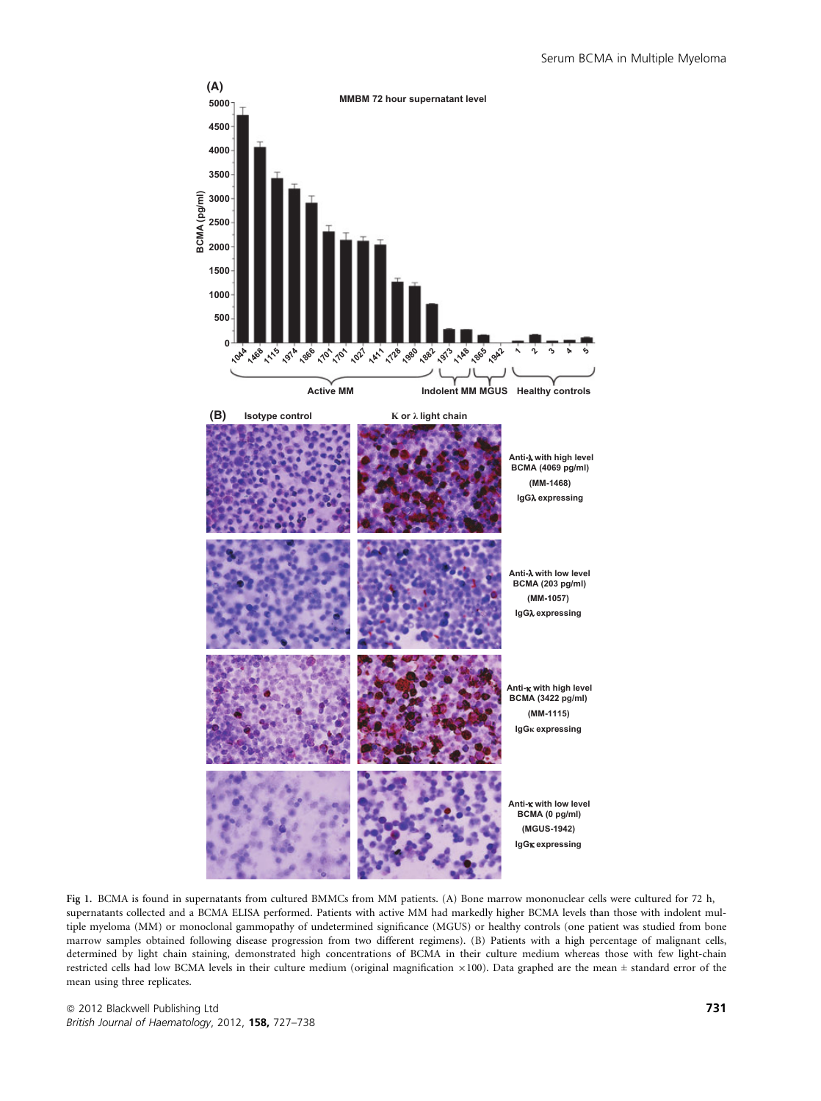

Fig 1. BCMA is found in supernatants from cultured BMMCs from MM patients. (A) Bone marrow mononuclear cells were cultured for 72 h, supernatants collected and a BCMA ELISA performed. Patients with active MM had markedly higher BCMA levels than those with indolent multiple myeloma (MM) or monoclonal gammopathy of undetermined significance (MGUS) or healthy controls (one patient was studied from bone marrow samples obtained following disease progression from two different regimens). (B) Patients with a high percentage of malignant cells, determined by light chain staining, demonstrated high concentrations of BCMA in their culture medium whereas those with few light-chain restricted cells had low BCMA levels in their culture medium (original magnification  $\times 100$ ). Data graphed are the mean  $\pm$  standard error of the mean using three replicates.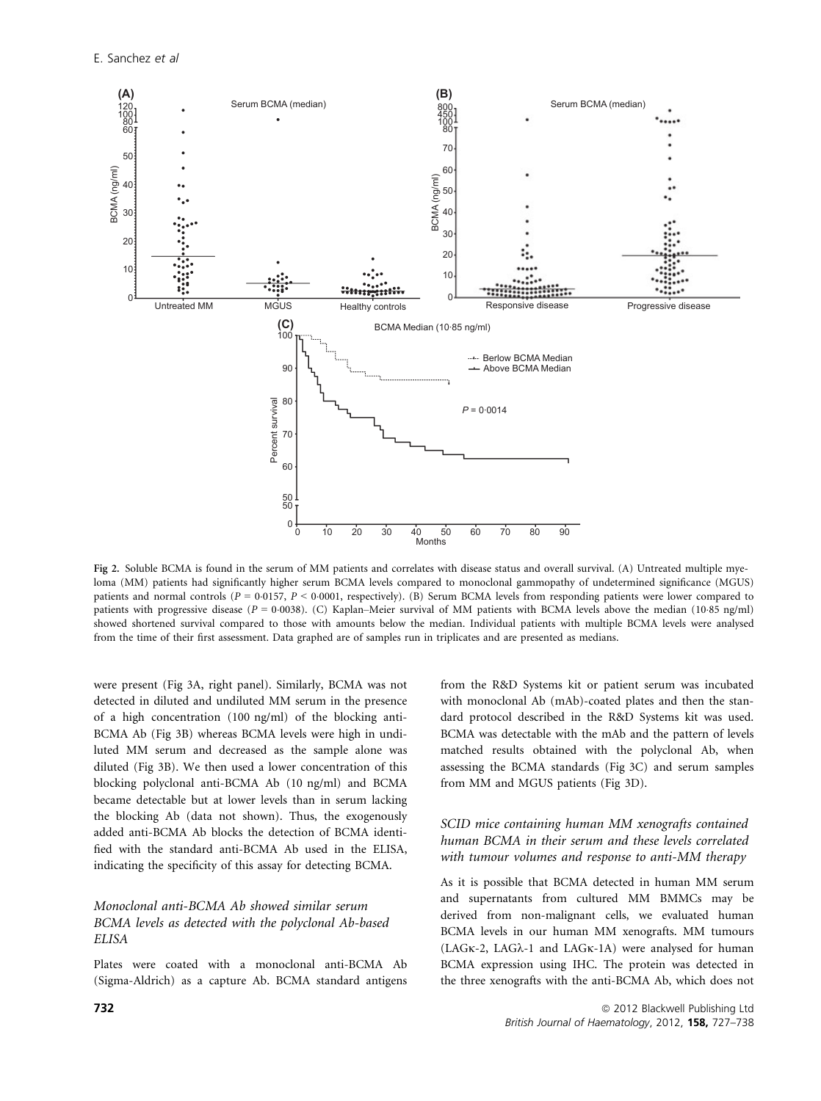

Fig 2. Soluble BCMA is found in the serum of MM patients and correlates with disease status and overall survival. (A) Untreated multiple myeloma (MM) patients had significantly higher serum BCMA levels compared to monoclonal gammopathy of undetermined significance (MGUS) patients and normal controls ( $P = 0.0157$ ,  $P < 0.0001$ , respectively). (B) Serum BCMA levels from responding patients were lower compared to patients with progressive disease  $(P = 0.0038)$ . (C) Kaplan–Meier survival of MM patients with BCMA levels above the median (10.85 ng/ml) showed shortened survival compared to those with amounts below the median. Individual patients with multiple BCMA levels were analysed from the time of their first assessment. Data graphed are of samples run in triplicates and are presented as medians.

were present (Fig 3A, right panel). Similarly, BCMA was not detected in diluted and undiluted MM serum in the presence of a high concentration (100 ng/ml) of the blocking anti-BCMA Ab (Fig 3B) whereas BCMA levels were high in undiluted MM serum and decreased as the sample alone was diluted (Fig 3B). We then used a lower concentration of this blocking polyclonal anti-BCMA Ab (10 ng/ml) and BCMA became detectable but at lower levels than in serum lacking the blocking Ab (data not shown). Thus, the exogenously added anti-BCMA Ab blocks the detection of BCMA identified with the standard anti-BCMA Ab used in the ELISA, indicating the specificity of this assay for detecting BCMA.

# Monoclonal anti-BCMA Ab showed similar serum BCMA levels as detected with the polyclonal Ab-based ELISA

Plates were coated with a monoclonal anti-BCMA Ab (Sigma-Aldrich) as a capture Ab. BCMA standard antigens from the R&D Systems kit or patient serum was incubated with monoclonal Ab (mAb)-coated plates and then the standard protocol described in the R&D Systems kit was used. BCMA was detectable with the mAb and the pattern of levels matched results obtained with the polyclonal Ab, when assessing the BCMA standards (Fig 3C) and serum samples from MM and MGUS patients (Fig 3D).

# SCID mice containing human MM xenografts contained human BCMA in their serum and these levels correlated with tumour volumes and response to anti-MM therapy

As it is possible that BCMA detected in human MM serum and supernatants from cultured MM BMMCs may be derived from non-malignant cells, we evaluated human BCMA levels in our human MM xenografts. MM tumours  $(LAGK-2, LAG\lambda-1$  and  $LAGK-1A)$  were analysed for human BCMA expression using IHC. The protein was detected in the three xenografts with the anti-BCMA Ab, which does not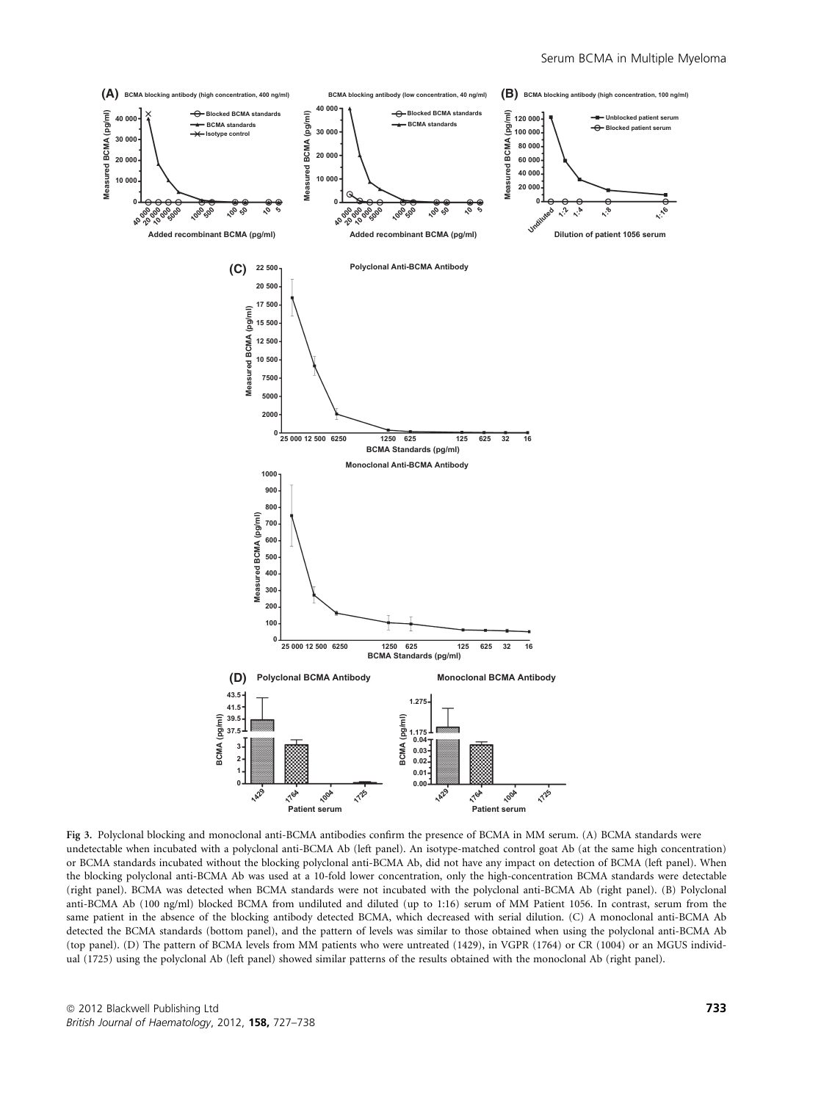

Fig 3. Polyclonal blocking and monoclonal anti-BCMA antibodies confirm the presence of BCMA in MM serum. (A) BCMA standards were undetectable when incubated with a polyclonal anti-BCMA Ab (left panel). An isotype-matched control goat Ab (at the same high concentration) or BCMA standards incubated without the blocking polyclonal anti-BCMA Ab, did not have any impact on detection of BCMA (left panel). When the blocking polyclonal anti-BCMA Ab was used at a 10-fold lower concentration, only the high-concentration BCMA standards were detectable (right panel). BCMA was detected when BCMA standards were not incubated with the polyclonal anti-BCMA Ab (right panel). (B) Polyclonal anti-BCMA Ab (100 ng/ml) blocked BCMA from undiluted and diluted (up to 1:16) serum of MM Patient 1056. In contrast, serum from the same patient in the absence of the blocking antibody detected BCMA, which decreased with serial dilution. (C) A monoclonal anti-BCMA Ab detected the BCMA standards (bottom panel), and the pattern of levels was similar to those obtained when using the polyclonal anti-BCMA Ab (top panel). (D) The pattern of BCMA levels from MM patients who were untreated (1429), in VGPR (1764) or CR (1004) or an MGUS individual (1725) using the polyclonal Ab (left panel) showed similar patterns of the results obtained with the monoclonal Ab (right panel).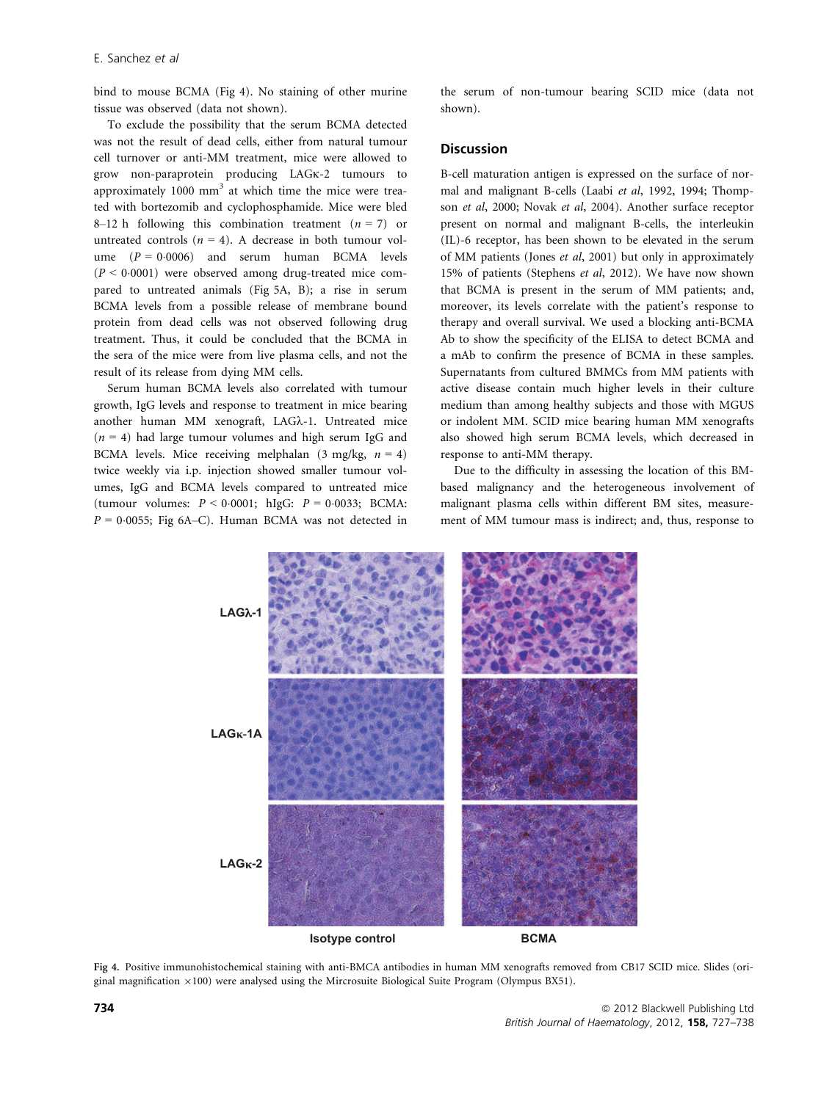bind to mouse BCMA (Fig 4). No staining of other murine tissue was observed (data not shown).

To exclude the possibility that the serum BCMA detected was not the result of dead cells, either from natural tumour cell turnover or anti-MM treatment, mice were allowed to grow non-paraprotein producing LAGK-2 tumours to approximately  $1000 \text{ mm}^3$  at which time the mice were treated with bortezomib and cyclophosphamide. Mice were bled 8–12 h following this combination treatment  $(n = 7)$  or untreated controls ( $n = 4$ ). A decrease in both tumour volume  $(P = 0.0006)$  and serum human BCMA levels  $(P < 0.0001)$  were observed among drug-treated mice compared to untreated animals (Fig 5A, B); a rise in serum BCMA levels from a possible release of membrane bound protein from dead cells was not observed following drug treatment. Thus, it could be concluded that the BCMA in the sera of the mice were from live plasma cells, and not the result of its release from dying MM cells.

Serum human BCMA levels also correlated with tumour growth, IgG levels and response to treatment in mice bearing another human MM xenograft, LAGk-1. Untreated mice  $(n = 4)$  had large tumour volumes and high serum IgG and BCMA levels. Mice receiving melphalan (3 mg/kg,  $n = 4$ ) twice weekly via i.p. injection showed smaller tumour volumes, IgG and BCMA levels compared to untreated mice (tumour volumes:  $P < 0.0001$ ; hIgG:  $P = 0.0033$ ; BCMA:  $P = 0.0055$ ; Fig 6A–C). Human BCMA was not detected in the serum of non-tumour bearing SCID mice (data not shown).

#### **Discussion**

B-cell maturation antigen is expressed on the surface of normal and malignant B-cells (Laabi et al, 1992, 1994; Thompson et al, 2000; Novak et al, 2004). Another surface receptor present on normal and malignant B-cells, the interleukin (IL)-6 receptor, has been shown to be elevated in the serum of MM patients (Jones et al, 2001) but only in approximately 15% of patients (Stephens et al, 2012). We have now shown that BCMA is present in the serum of MM patients; and, moreover, its levels correlate with the patient's response to therapy and overall survival. We used a blocking anti-BCMA Ab to show the specificity of the ELISA to detect BCMA and a mAb to confirm the presence of BCMA in these samples. Supernatants from cultured BMMCs from MM patients with active disease contain much higher levels in their culture medium than among healthy subjects and those with MGUS or indolent MM. SCID mice bearing human MM xenografts also showed high serum BCMA levels, which decreased in response to anti-MM therapy.

Due to the difficulty in assessing the location of this BMbased malignancy and the heterogeneous involvement of malignant plasma cells within different BM sites, measurement of MM tumour mass is indirect; and, thus, response to



Fig 4. Positive immunohistochemical staining with anti-BMCA antibodies in human MM xenografts removed from CB17 SCID mice. Slides (original magnification  $\times$ 100) were analysed using the Mircrosuite Biological Suite Program (Olympus BX51).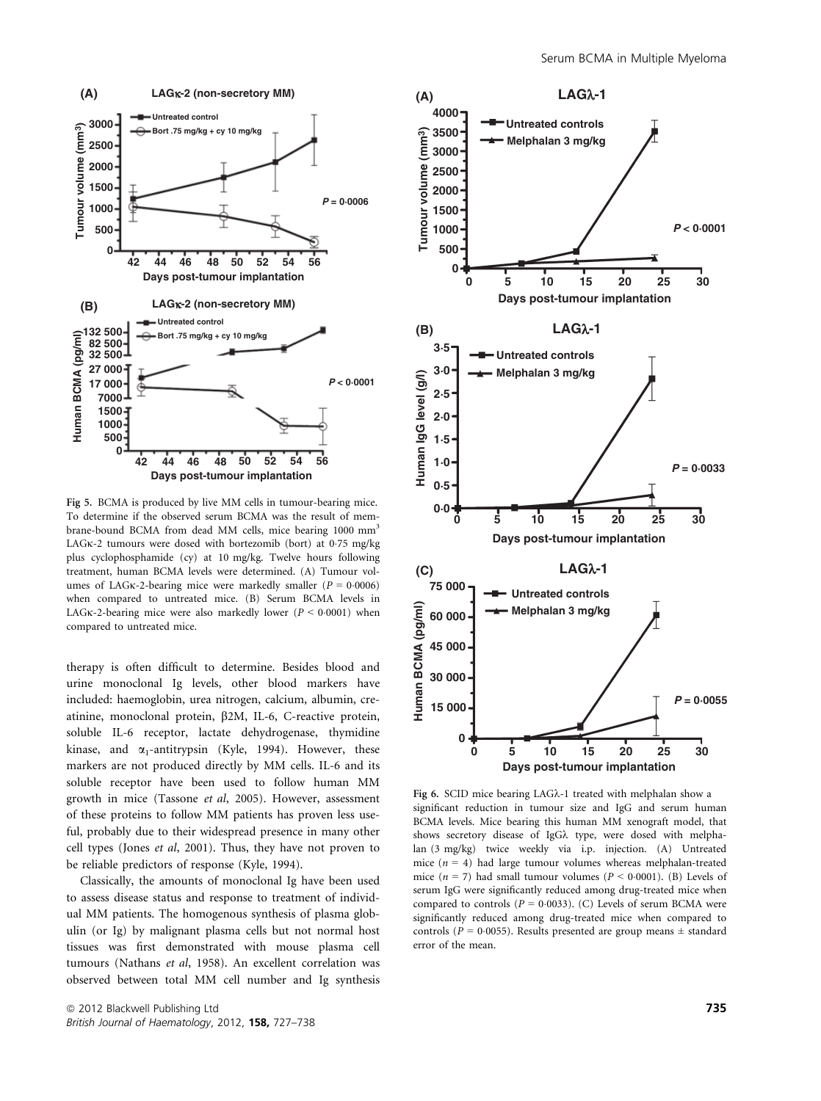

Fig 5. BCMA is produced by live MM cells in tumour-bearing mice. To determine if the observed serum BCMA was the result of membrane-bound BCMA from dead MM cells, mice bearing 1000 mm<sup>3</sup> LAGK-2 tumours were dosed with bortezomib (bort) at 0.75 mg/kg plus cyclophosphamide (cy) at 10 mg/kg. Twelve hours following treatment, human BCMA levels were determined. (A) Tumour volumes of LAG<sub>K</sub>-2-bearing mice were markedly smaller ( $P = 0.0006$ ) when compared to untreated mice. (B) Serum BCMA levels in LAG<sub>K</sub>-2-bearing mice were also markedly lower ( $P < 0.0001$ ) when compared to untreated mice.

therapy is often difficult to determine. Besides blood and urine monoclonal Ig levels, other blood markers have included: haemoglobin, urea nitrogen, calcium, albumin, creatinine, monoclonal protein, b2M, IL-6, C-reactive protein, soluble IL-6 receptor, lactate dehydrogenase, thymidine kinase, and  $\alpha_1$ -antitrypsin (Kyle, 1994). However, these markers are not produced directly by MM cells. IL-6 and its soluble receptor have been used to follow human MM growth in mice (Tassone et al, 2005). However, assessment of these proteins to follow MM patients has proven less useful, probably due to their widespread presence in many other cell types (Jones et al, 2001). Thus, they have not proven to be reliable predictors of response (Kyle, 1994).

Classically, the amounts of monoclonal Ig have been used to assess disease status and response to treatment of individual MM patients. The homogenous synthesis of plasma globulin (or Ig) by malignant plasma cells but not normal host tissues was first demonstrated with mouse plasma cell tumours (Nathans et al, 1958). An excellent correlation was observed between total MM cell number and Ig synthesis



Fig 6. SCID mice bearing LAGk-1 treated with melphalan show a significant reduction in tumour size and IgG and serum human BCMA levels. Mice bearing this human MM xenograft model, that shows secretory disease of IgGk type, were dosed with melphalan (3 mg/kg) twice weekly via i.p. injection. (A) Untreated mice ( $n = 4$ ) had large tumour volumes whereas melphalan-treated mice ( $n = 7$ ) had small tumour volumes ( $P < 0.0001$ ). (B) Levels of serum IgG were significantly reduced among drug-treated mice when compared to controls ( $P = 0.0033$ ). (C) Levels of serum BCMA were significantly reduced among drug-treated mice when compared to controls ( $P = 0.0055$ ). Results presented are group means  $\pm$  standard error of the mean.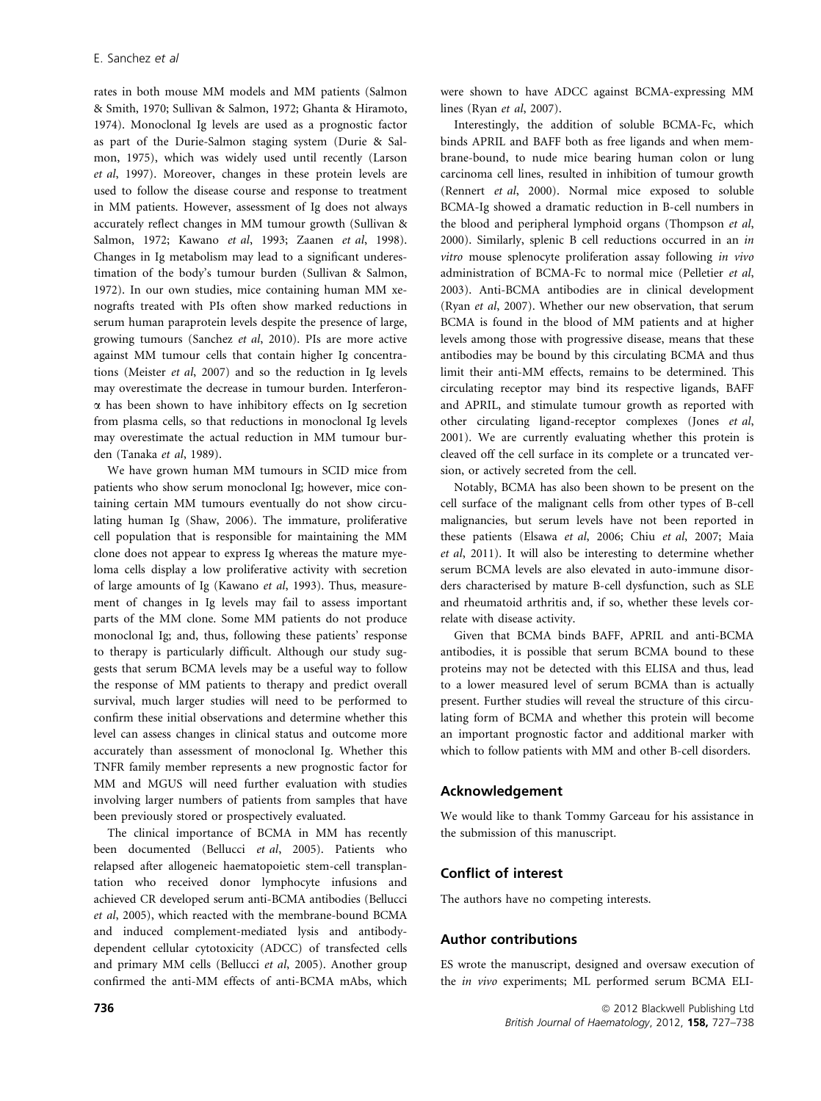rates in both mouse MM models and MM patients (Salmon & Smith, 1970; Sullivan & Salmon, 1972; Ghanta & Hiramoto, 1974). Monoclonal Ig levels are used as a prognostic factor as part of the Durie-Salmon staging system (Durie & Salmon, 1975), which was widely used until recently (Larson et al, 1997). Moreover, changes in these protein levels are used to follow the disease course and response to treatment in MM patients. However, assessment of Ig does not always accurately reflect changes in MM tumour growth (Sullivan & Salmon, 1972; Kawano et al, 1993; Zaanen et al, 1998). Changes in Ig metabolism may lead to a significant underestimation of the body's tumour burden (Sullivan & Salmon, 1972). In our own studies, mice containing human MM xenografts treated with PIs often show marked reductions in serum human paraprotein levels despite the presence of large, growing tumours (Sanchez et al, 2010). PIs are more active against MM tumour cells that contain higher Ig concentrations (Meister et al, 2007) and so the reduction in Ig levels may overestimate the decrease in tumour burden. Interferona has been shown to have inhibitory effects on Ig secretion from plasma cells, so that reductions in monoclonal Ig levels may overestimate the actual reduction in MM tumour burden (Tanaka et al, 1989).

We have grown human MM tumours in SCID mice from patients who show serum monoclonal Ig; however, mice containing certain MM tumours eventually do not show circulating human Ig (Shaw, 2006). The immature, proliferative cell population that is responsible for maintaining the MM clone does not appear to express Ig whereas the mature myeloma cells display a low proliferative activity with secretion of large amounts of Ig (Kawano et al, 1993). Thus, measurement of changes in Ig levels may fail to assess important parts of the MM clone. Some MM patients do not produce monoclonal Ig; and, thus, following these patients' response to therapy is particularly difficult. Although our study suggests that serum BCMA levels may be a useful way to follow the response of MM patients to therapy and predict overall survival, much larger studies will need to be performed to confirm these initial observations and determine whether this level can assess changes in clinical status and outcome more accurately than assessment of monoclonal Ig. Whether this TNFR family member represents a new prognostic factor for MM and MGUS will need further evaluation with studies involving larger numbers of patients from samples that have been previously stored or prospectively evaluated.

The clinical importance of BCMA in MM has recently been documented (Bellucci et al, 2005). Patients who relapsed after allogeneic haematopoietic stem-cell transplantation who received donor lymphocyte infusions and achieved CR developed serum anti-BCMA antibodies (Bellucci et al, 2005), which reacted with the membrane-bound BCMA and induced complement-mediated lysis and antibodydependent cellular cytotoxicity (ADCC) of transfected cells and primary MM cells (Bellucci et al, 2005). Another group confirmed the anti-MM effects of anti-BCMA mAbs, which were shown to have ADCC against BCMA-expressing MM lines (Ryan et al, 2007).

Interestingly, the addition of soluble BCMA-Fc, which binds APRIL and BAFF both as free ligands and when membrane-bound, to nude mice bearing human colon or lung carcinoma cell lines, resulted in inhibition of tumour growth (Rennert et al, 2000). Normal mice exposed to soluble BCMA-Ig showed a dramatic reduction in B-cell numbers in the blood and peripheral lymphoid organs (Thompson et al, 2000). Similarly, splenic B cell reductions occurred in an in vitro mouse splenocyte proliferation assay following in vivo administration of BCMA-Fc to normal mice (Pelletier et al, 2003). Anti-BCMA antibodies are in clinical development (Ryan et al, 2007). Whether our new observation, that serum BCMA is found in the blood of MM patients and at higher levels among those with progressive disease, means that these antibodies may be bound by this circulating BCMA and thus limit their anti-MM effects, remains to be determined. This circulating receptor may bind its respective ligands, BAFF and APRIL, and stimulate tumour growth as reported with other circulating ligand-receptor complexes (Jones et al, 2001). We are currently evaluating whether this protein is cleaved off the cell surface in its complete or a truncated version, or actively secreted from the cell.

Notably, BCMA has also been shown to be present on the cell surface of the malignant cells from other types of B-cell malignancies, but serum levels have not been reported in these patients (Elsawa et al, 2006; Chiu et al, 2007; Maia et al, 2011). It will also be interesting to determine whether serum BCMA levels are also elevated in auto-immune disorders characterised by mature B-cell dysfunction, such as SLE and rheumatoid arthritis and, if so, whether these levels correlate with disease activity.

Given that BCMA binds BAFF, APRIL and anti-BCMA antibodies, it is possible that serum BCMA bound to these proteins may not be detected with this ELISA and thus, lead to a lower measured level of serum BCMA than is actually present. Further studies will reveal the structure of this circulating form of BCMA and whether this protein will become an important prognostic factor and additional marker with which to follow patients with MM and other B-cell disorders.

#### Acknowledgement

We would like to thank Tommy Garceau for his assistance in the submission of this manuscript.

#### Conflict of interest

The authors have no competing interests.

## Author contributions

ES wrote the manuscript, designed and oversaw execution of the in vivo experiments; ML performed serum BCMA ELI-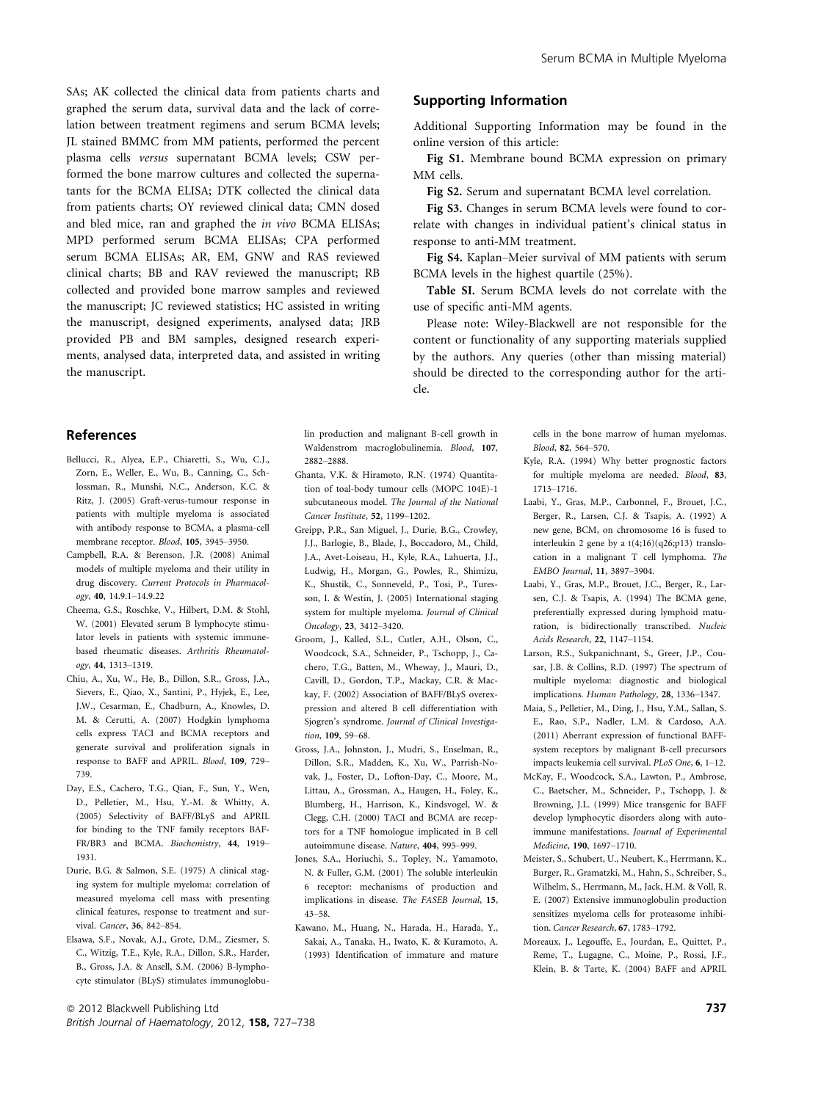SAs; AK collected the clinical data from patients charts and graphed the serum data, survival data and the lack of correlation between treatment regimens and serum BCMA levels; JL stained BMMC from MM patients, performed the percent plasma cells versus supernatant BCMA levels; CSW performed the bone marrow cultures and collected the supernatants for the BCMA ELISA; DTK collected the clinical data from patients charts; OY reviewed clinical data; CMN dosed and bled mice, ran and graphed the in vivo BCMA ELISAs; MPD performed serum BCMA ELISAs; CPA performed serum BCMA ELISAs; AR, EM, GNW and RAS reviewed clinical charts; BB and RAV reviewed the manuscript; RB collected and provided bone marrow samples and reviewed the manuscript; JC reviewed statistics; HC assisted in writing the manuscript, designed experiments, analysed data; JRB provided PB and BM samples, designed research experiments, analysed data, interpreted data, and assisted in writing the manuscript.

#### References

- Bellucci, R., Alyea, E.P., Chiaretti, S., Wu, C.J., Zorn, E., Weller, E., Wu, B., Canning, C., Schlossman, R., Munshi, N.C., Anderson, K.C. & Ritz, J. (2005) Graft-verus-tumour response in patients with multiple myeloma is associated with antibody response to BCMA, a plasma-cell membrane receptor. Blood, 105, 3945–3950.
- Campbell, R.A. & Berenson, J.R. (2008) Animal models of multiple myeloma and their utility in drug discovery. Current Protocols in Pharmacology, 40, 14.9.1–14.9.22
- Cheema, G.S., Roschke, V., Hilbert, D.M. & Stohl, W. (2001) Elevated serum B lymphocyte stimulator levels in patients with systemic immunebased rheumatic diseases. Arthritis Rheumatology, 44, 1313–1319.
- Chiu, A., Xu, W., He, B., Dillon, S.R., Gross, J.A., Sievers, E., Qiao, X., Santini, P., Hyjek, E., Lee, J.W., Cesarman, E., Chadburn, A., Knowles, D. M. & Cerutti, A. (2007) Hodgkin lymphoma cells express TACI and BCMA receptors and generate survival and proliferation signals in response to BAFF and APRIL. Blood, 109, 729– 739.
- Day, E.S., Cachero, T.G., Qian, F., Sun, Y., Wen, D., Pelletier, M., Hsu, Y.-M. & Whitty, A. (2005) Selectivity of BAFF/BLyS and APRIL for binding to the TNF family receptors BAF-FR/BR3 and BCMA. Biochemistry, 44, 1919– 1931.
- Durie, B.G. & Salmon, S.E. (1975) A clinical staging system for multiple myeloma: correlation of measured myeloma cell mass with presenting clinical features, response to treatment and survival. Cancer, 36, 842–854.
- Elsawa, S.F., Novak, A.J., Grote, D.M., Ziesmer, S. C., Witzig, T.E., Kyle, R.A., Dillon, S.R., Harder, B., Gross, J.A. & Ansell, S.M. (2006) B-lymphocyte stimulator (BLyS) stimulates immunoglobu-

# Supporting Information

Additional Supporting Information may be found in the online version of this article:

Fig S1. Membrane bound BCMA expression on primary MM cells.

Fig S2. Serum and supernatant BCMA level correlation.

Fig S3. Changes in serum BCMA levels were found to correlate with changes in individual patient's clinical status in response to anti-MM treatment.

Fig S4. Kaplan–Meier survival of MM patients with serum BCMA levels in the highest quartile (25%).

Table SI. Serum BCMA levels do not correlate with the use of specific anti-MM agents.

Please note: Wiley-Blackwell are not responsible for the content or functionality of any supporting materials supplied by the authors. Any queries (other than missing material) should be directed to the corresponding author for the article.

lin production and malignant B-cell growth in Waldenstrom macroglobulinemia. Blood, 107, 2882–2888.

- Ghanta, V.K. & Hiramoto, R.N. (1974) Quantitation of toal-body tumour cells (MOPC 104E)-1 subcutaneous model. The Journal of the National Cancer Institute, 52, 1199–1202.
- Greipp, P.R., San Miguel, J., Durie, B.G., Crowley, J.J., Barlogie, B., Blade, J., Boccadoro, M., Child, J.A., Avet-Loiseau, H., Kyle, R.A., Lahuerta, J.J., Ludwig, H., Morgan, G., Powles, R., Shimizu, K., Shustik, C., Sonneveld, P., Tosi, P., Turesson, I. & Westin, J. (2005) International staging system for multiple myeloma. Journal of Clinical Oncology, 23, 3412–3420.
- Groom, J., Kalled, S.L., Cutler, A.H., Olson, C., Woodcock, S.A., Schneider, P., Tschopp, J., Cachero, T.G., Batten, M., Wheway, J., Mauri, D., Cavill, D., Gordon, T.P., Mackay, C.R. & Mackay, F. (2002) Association of BAFF/BLyS overexpression and altered B cell differentiation with Sjogren's syndrome. Journal of Clinical Investigation, 109, 59-68.
- Gross, J.A., Johnston, J., Mudri, S., Enselman, R., Dillon, S.R., Madden, K., Xu, W., Parrish-Novak, J., Foster, D., Lofton-Day, C., Moore, M., Littau, A., Grossman, A., Haugen, H., Foley, K., Blumberg, H., Harrison, K., Kindsvogel, W. & Clegg, C.H. (2000) TACI and BCMA are receptors for a TNF homologue implicated in B cell autoimmune disease. Nature, 404, 995–999.
- Jones, S.A., Horiuchi, S., Topley, N., Yamamoto, N. & Fuller, G.M. (2001) The soluble interleukin 6 receptor: mechanisms of production and implications in disease. The FASEB Journal, 15, 43–58.
- Kawano, M., Huang, N., Harada, H., Harada, Y., Sakai, A., Tanaka, H., Iwato, K. & Kuramoto, A. (1993) Identification of immature and mature

cells in the bone marrow of human myelomas. Blood, 82, 564–570.

- Kyle, R.A. (1994) Why better prognostic factors for multiple myeloma are needed. Blood, 83, 1713–1716.
- Laabi, Y., Gras, M.P., Carbonnel, F., Brouet, J.C., Berger, R., Larsen, C.J. & Tsapis, A. (1992) A new gene, BCM, on chromosome 16 is fused to interleukin 2 gene by a t(4;16)(q26;p13) translocation in a malignant T cell lymphoma. The EMBO Journal, 11, 3897–3904.
- Laabi, Y., Gras, M.P., Brouet, J.C., Berger, R., Larsen, C.J. & Tsapis, A. (1994) The BCMA gene, preferentially expressed during lymphoid maturation, is bidirectionally transcribed. Nucleic Acids Research, 22, 1147–1154.
- Larson, R.S., Sukpanichnant, S., Greer, J.P., Cousar, J.B. & Collins, R.D. (1997) The spectrum of multiple myeloma: diagnostic and biological implications. Human Pathology, 28, 1336–1347.
- Maia, S., Pelletier, M., Ding, J., Hsu, Y.M., Sallan, S. E., Rao, S.P., Nadler, L.M. & Cardoso, A.A. (2011) Aberrant expression of functional BAFFsystem receptors by malignant B-cell precursors impacts leukemia cell survival. PLoS One, 6, 1–12.
- McKay, F., Woodcock, S.A., Lawton, P., Ambrose, C., Baetscher, M., Schneider, P., Tschopp, J. & Browning, J.L. (1999) Mice transgenic for BAFF develop lymphocytic disorders along with autoimmune manifestations. Journal of Experimental Medicine, 190, 1697–1710.
- Meister, S., Schubert, U., Neubert, K., Herrmann, K., Burger, R., Gramatzki, M., Hahn, S., Schreiber, S., Wilhelm, S., Herrmann, M., Jack, H.M. & Voll, R. E. (2007) Extensive immunoglobulin production sensitizes myeloma cells for proteasome inhibition. Cancer Research, 67, 1783–1792.
- Moreaux, J., Legouffe, E., Jourdan, E., Quittet, P., Reme, T., Lugagne, C., Moine, P., Rossi, J.F., Klein, B. & Tarte, K. (2004) BAFF and APRIL

 $\circledcirc$  2012 Blackwell Publishing Ltd  $\bullet$ British Journal of Haematology, 2012, 158, 727-738